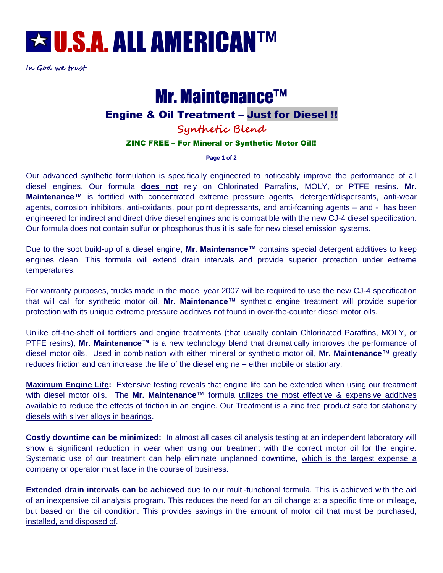

**In God we trust**

# Mr. Maintenance™

## Engine & Oil Treatment – Just for Diesel !!

**Synthetic Blend**

#### ZINC FREE – For Mineral or Synthetic Motor Oil!!

**Page 1 of 2**

Our advanced synthetic formulation is specifically engineered to noticeably improve the performance of all diesel engines. Our formula **does not** rely on Chlorinated Parrafins, MOLY, or PTFE resins. **Mr. Maintenance™** is fortified with concentrated extreme pressure agents, detergent/dispersants, anti-wear agents, corrosion inhibitors, anti-oxidants, pour point depressants, and anti-foaming agents – and - has been engineered for indirect and direct drive diesel engines and is compatible with the new CJ-4 diesel specification. Our formula does not contain sulfur or phosphorus thus it is safe for new diesel emission systems.

Due to the soot build-up of a diesel engine, **Mr. Maintenance™** contains special detergent additives to keep engines clean. This formula will extend drain intervals and provide superior protection under extreme temperatures.

For warranty purposes, trucks made in the model year 2007 will be required to use the new CJ-4 specification that will call for synthetic motor oil. **Mr. Maintenance™** synthetic engine treatment will provide superior protection with its unique extreme pressure additives not found in over-the-counter diesel motor oils.

Unlike off-the-shelf oil fortifiers and engine treatments (that usually contain Chlorinated Paraffins, MOLY, or PTFE resins), **Mr. Maintenance™** is a new technology blend that dramatically improves the performance of diesel motor oils. Used in combination with either mineral or synthetic motor oil, **Mr. Maintenance**™ greatly reduces friction and can increase the life of the diesel engine – either mobile or stationary.

**Maximum Engine Life:** Extensive testing reveals that engine life can be extended when using our treatment with diesel motor oils. The **Mr. Maintenance**™ formula utilizes the most effective & expensive additives available to reduce the effects of friction in an engine. Our Treatment is a zinc free product safe for stationary diesels with silver alloys in bearings.

**Costly downtime can be minimized:** In almost all cases oil analysis testing at an independent laboratory will show a significant reduction in wear when using our treatment with the correct motor oil for the engine. Systematic use of our treatment can help eliminate unplanned downtime, which is the largest expense a company or operator must face in the course of business.

**Extended drain intervals can be achieved** due to our multi-functional formula. This is achieved with the aid of an inexpensive oil analysis program. This reduces the need for an oil change at a specific time or mileage, but based on the oil condition. This provides savings in the amount of motor oil that must be purchased, installed, and disposed of.